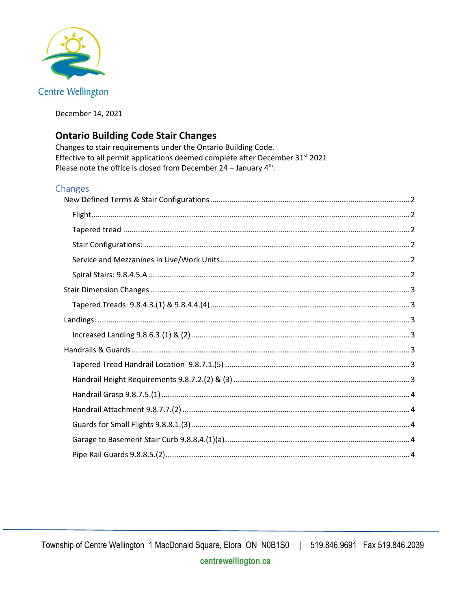

December 14, 2021

# **Ontario Building Code Stair Changes**

Changes to stair requirements under the Ontario Building Code. Effective to all permit applications deemed complete after December 31<sup>st</sup> 2021 Please note the office is closed from December  $24$  – January  $4<sup>th</sup>$ .

## Changes

<span id="page-0-0"></span>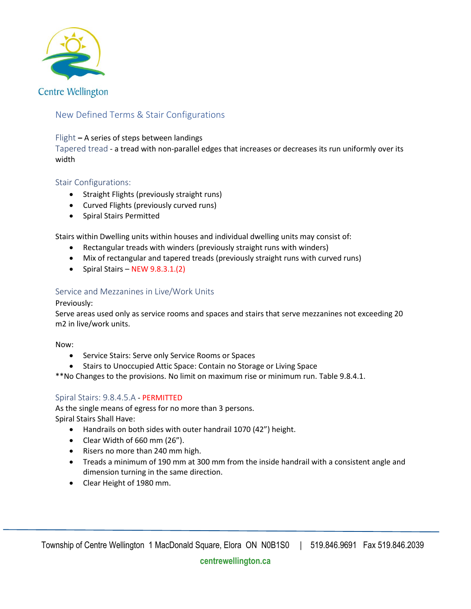

# New Defined Terms & Stair Configurations

### <span id="page-1-0"></span>Flight **–** A series of steps between landings

<span id="page-1-1"></span>Tapered tread - a tread with non-parallel edges that increases or decreases its run uniformly over its width

## <span id="page-1-2"></span>Stair Configurations:

- Straight Flights (previously straight runs)
- Curved Flights (previously curved runs)
- Spiral Stairs Permitted

Stairs within Dwelling units within houses and individual dwelling units may consist of:

- Rectangular treads with winders (previously straight runs with winders)
- Mix of rectangular and tapered treads (previously straight runs with curved runs)
- Spiral Stairs NEW 9.8.3.1.(2)

### <span id="page-1-3"></span>Service and Mezzanines in Live/Work Units

#### Previously:

Serve areas used only as service rooms and spaces and stairs that serve mezzanines not exceeding 20 m2 in live/work units.

#### Now:

- Service Stairs: Serve only Service Rooms or Spaces
- Stairs to Unoccupied Attic Space: Contain no Storage or Living Space

\*\*No Changes to the provisions. No limit on maximum rise or minimum run. Table 9.8.4.1.

### <span id="page-1-4"></span>Spiral Stairs: 9.8.4.5.A - PERMITTED

As the single means of egress for no more than 3 persons. Spiral Stairs Shall Have:

- Handrails on both sides with outer handrail 1070 (42") height.
- Clear Width of 660 mm (26").
- Risers no more than 240 mm high.
- Treads a minimum of 190 mm at 300 mm from the inside handrail with a consistent angle and dimension turning in the same direction.
- Clear Height of 1980 mm.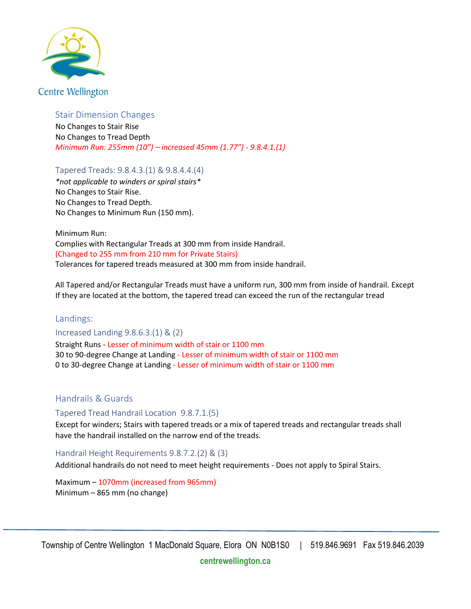

## <span id="page-2-0"></span>Stair Dimension Changes

No Changes to Stair Rise No Changes to Tread Depth *Minimum Run: 255mm (10") – increased 45mm (1.77") - 9.8.4.1.(1)*

<span id="page-2-1"></span>Tapered Treads: 9.8.4.3.(1) & 9.8.4.4.(4)

*\*not applicable to winders or spiral stairs\** No Changes to Stair Rise. No Changes to Tread Depth. No Changes to Minimum Run (150 mm).

Minimum Run: Complies with Rectangular Treads at 300 mm from inside Handrail. (Changed to 255 mm from 210 mm for Private Stairs) Tolerances for tapered treads measured at 300 mm from inside handrail.

All Tapered and/or Rectangular Treads must have a uniform run, 300 mm from inside of handrail. Except If they are located at the bottom, the tapered tread can exceed the run of the rectangular tread

## <span id="page-2-2"></span>Landings:

<span id="page-2-3"></span>Increased Landing 9.8.6.3.(1) & (2)

Straight Runs - Lesser of minimum width of stair or 1100 mm 30 to 90-degree Change at Landing - Lesser of minimum width of stair or 1100 mm 0 to 30-degree Change at Landing - Lesser of minimum width of stair or 1100 mm

## <span id="page-2-4"></span>Handrails & Guards

<span id="page-2-5"></span>Tapered Tread Handrail Location 9.8.7.1.(5)

Except for winders; Stairs with tapered treads or a mix of tapered treads and rectangular treads shall have the handrail installed on the narrow end of the treads.

<span id="page-2-6"></span>Handrail Height Requirements 9.8.7.2.(2) & (3)

Additional handrails do not need to meet height requirements - Does not apply to Spiral Stairs.

Maximum – 1070mm (increased from 965mm) Minimum – 865 mm (no change)